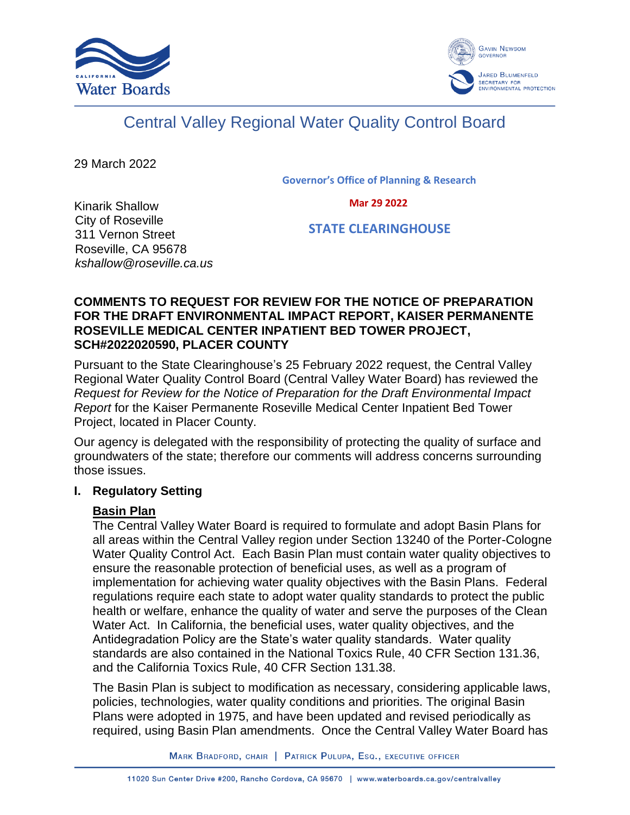



# Central Valley Regional Water Quality Control Board

29 March 2022

**Governor's Office of Planning & Research**

 **Mar 29 2022**

Kinarik Shallow City of Roseville 311 Vernon Street Roseville, CA 95678 *kshallow@roseville.ca.us*

 **STATE CLEARINGHOUSE**

#### **COMMENTS TO REQUEST FOR REVIEW FOR THE NOTICE OF PREPARATION FOR THE DRAFT ENVIRONMENTAL IMPACT REPORT, KAISER PERMANENTE ROSEVILLE MEDICAL CENTER INPATIENT BED TOWER PROJECT, SCH#2022020590, PLACER COUNTY**

Pursuant to the State Clearinghouse's 25 February 2022 request, the Central Valley Regional Water Quality Control Board (Central Valley Water Board) has reviewed the *Request for Review for the Notice of Preparation for the Draft Environmental Impact Report* for the Kaiser Permanente Roseville Medical Center Inpatient Bed Tower Project, located in Placer County.

Our agency is delegated with the responsibility of protecting the quality of surface and groundwaters of the state; therefore our comments will address concerns surrounding those issues.

#### **I. Regulatory Setting**

## **Basin Plan**

The Central Valley Water Board is required to formulate and adopt Basin Plans for all areas within the Central Valley region under Section 13240 of the Porter-Cologne Water Quality Control Act. Each Basin Plan must contain water quality objectives to ensure the reasonable protection of beneficial uses, as well as a program of implementation for achieving water quality objectives with the Basin Plans. Federal regulations require each state to adopt water quality standards to protect the public health or welfare, enhance the quality of water and serve the purposes of the Clean Water Act. In California, the beneficial uses, water quality objectives, and the Antidegradation Policy are the State's water quality standards. Water quality standards are also contained in the National Toxics Rule, 40 CFR Section 131.36, and the California Toxics Rule, 40 CFR Section 131.38.

The Basin Plan is subject to modification as necessary, considering applicable laws, policies, technologies, water quality conditions and priorities. The original Basin Plans were adopted in 1975, and have been updated and revised periodically as required, using Basin Plan amendments. Once the Central Valley Water Board has

MARK BRADFORD, CHAIR | PATRICK PULUPA, ESQ., EXECUTIVE OFFICER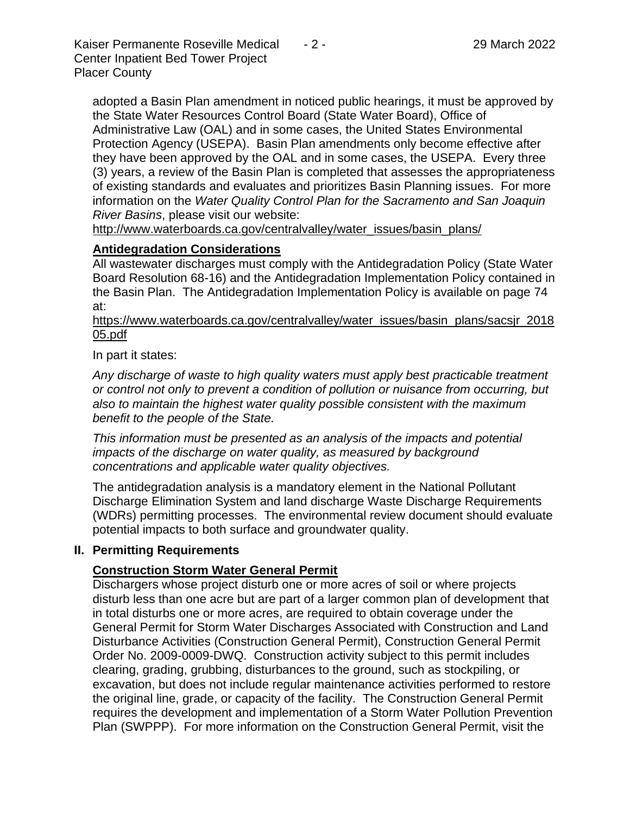Kaiser Permanente Roseville Medical - 2 - 29 March 2022 Center Inpatient Bed Tower Project Placer County

adopted a Basin Plan amendment in noticed public hearings, it must be approved by the State Water Resources Control Board (State Water Board), Office of Administrative Law (OAL) and in some cases, the United States Environmental Protection Agency (USEPA). Basin Plan amendments only become effective after they have been approved by the OAL and in some cases, the USEPA. Every three (3) years, a review of the Basin Plan is completed that assesses the appropriateness of existing standards and evaluates and prioritizes Basin Planning issues. For more information on the *Water Quality Control Plan for the Sacramento and San Joaquin River Basins*, please visit our website:

[http://www.waterboards.ca.gov/centralvalley/water\\_issues/basin\\_plans/](http://www.waterboards.ca.gov/centralvalley/water_issues/basin_plans/)

# **Antidegradation Considerations**

All wastewater discharges must comply with the Antidegradation Policy (State Water Board Resolution 68-16) and the Antidegradation Implementation Policy contained in the Basin Plan. The Antidegradation Implementation Policy is available on page 74 at:

https://www.waterboards.ca.gov/centralvalley/water\_issues/basin\_plans/sacsjr\_2018 05.pdf

In part it states:

*Any discharge of waste to high quality waters must apply best practicable treatment or control not only to prevent a condition of pollution or nuisance from occurring, but also to maintain the highest water quality possible consistent with the maximum benefit to the people of the State.*

*This information must be presented as an analysis of the impacts and potential impacts of the discharge on water quality, as measured by background concentrations and applicable water quality objectives.*

The antidegradation analysis is a mandatory element in the National Pollutant Discharge Elimination System and land discharge Waste Discharge Requirements (WDRs) permitting processes. The environmental review document should evaluate potential impacts to both surface and groundwater quality.

## **II. Permitting Requirements**

## **Construction Storm Water General Permit**

Dischargers whose project disturb one or more acres of soil or where projects disturb less than one acre but are part of a larger common plan of development that in total disturbs one or more acres, are required to obtain coverage under the General Permit for Storm Water Discharges Associated with Construction and Land Disturbance Activities (Construction General Permit), Construction General Permit Order No. 2009-0009-DWQ. Construction activity subject to this permit includes clearing, grading, grubbing, disturbances to the ground, such as stockpiling, or excavation, but does not include regular maintenance activities performed to restore the original line, grade, or capacity of the facility. The Construction General Permit requires the development and implementation of a Storm Water Pollution Prevention Plan (SWPPP). For more information on the Construction General Permit, visit the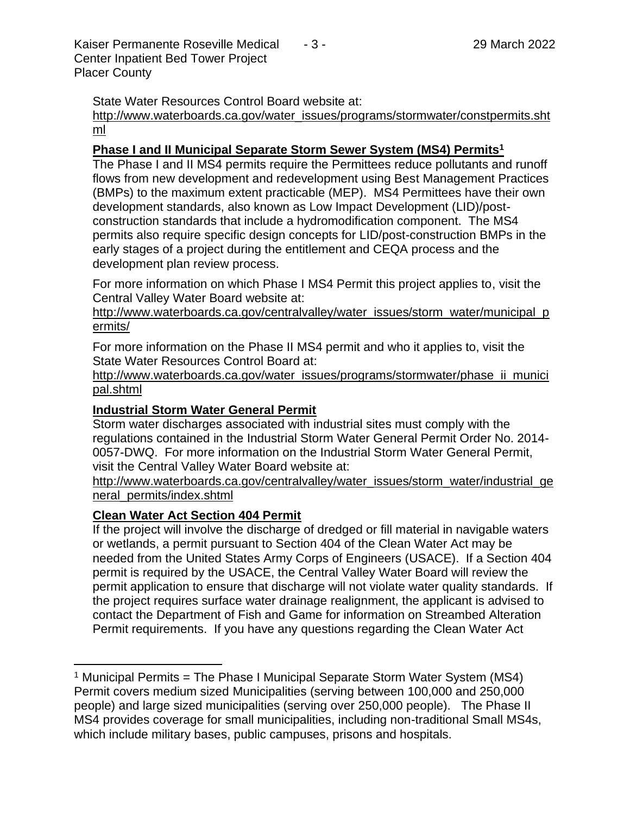Kaiser Permanente Roseville Medical - 3 - 29 March 2022 Center Inpatient Bed Tower Project Placer County

State Water Resources Control Board website at:

[http://www.waterboards.ca.gov/water\\_issues/programs/stormwater/constpermits.sht](http://www.waterboards.ca.gov/water_issues/programs/stormwater/constpermits.shtml) [ml](http://www.waterboards.ca.gov/water_issues/programs/stormwater/constpermits.shtml)

#### **Phase I and II Municipal Separate Storm Sewer System (MS4) Permits<sup>1</sup>**

The Phase I and II MS4 permits require the Permittees reduce pollutants and runoff flows from new development and redevelopment using Best Management Practices (BMPs) to the maximum extent practicable (MEP). MS4 Permittees have their own development standards, also known as Low Impact Development (LID)/postconstruction standards that include a hydromodification component. The MS4 permits also require specific design concepts for LID/post-construction BMPs in the early stages of a project during the entitlement and CEQA process and the development plan review process.

For more information on which Phase I MS4 Permit this project applies to, visit the Central Valley Water Board website at:

http://www.waterboards.ca.gov/centralvalley/water\_issues/storm\_water/municipal\_p ermits/

For more information on the Phase II MS4 permit and who it applies to, visit the State Water Resources Control Board at:

http://www.waterboards.ca.gov/water\_issues/programs/stormwater/phase\_ii\_munici pal.shtml

#### **Industrial Storm Water General Permit**

Storm water discharges associated with industrial sites must comply with the regulations contained in the Industrial Storm Water General Permit Order No. 2014- 0057-DWQ. For more information on the Industrial Storm Water General Permit, visit the Central Valley Water Board website at:

http://www.waterboards.ca.gov/centralvalley/water\_issues/storm\_water/industrial\_ge neral\_permits/index.shtml

#### **Clean Water Act Section 404 Permit**

If the project will involve the discharge of dredged or fill material in navigable waters or wetlands, a permit pursuant to Section 404 of the Clean Water Act may be needed from the United States Army Corps of Engineers (USACE). If a Section 404 permit is required by the USACE, the Central Valley Water Board will review the permit application to ensure that discharge will not violate water quality standards. If the project requires surface water drainage realignment, the applicant is advised to contact the Department of Fish and Game for information on Streambed Alteration Permit requirements. If you have any questions regarding the Clean Water Act

<sup>&</sup>lt;sup>1</sup> Municipal Permits = The Phase I Municipal Separate Storm Water System (MS4) Permit covers medium sized Municipalities (serving between 100,000 and 250,000 people) and large sized municipalities (serving over 250,000 people). The Phase II MS4 provides coverage for small municipalities, including non-traditional Small MS4s, which include military bases, public campuses, prisons and hospitals.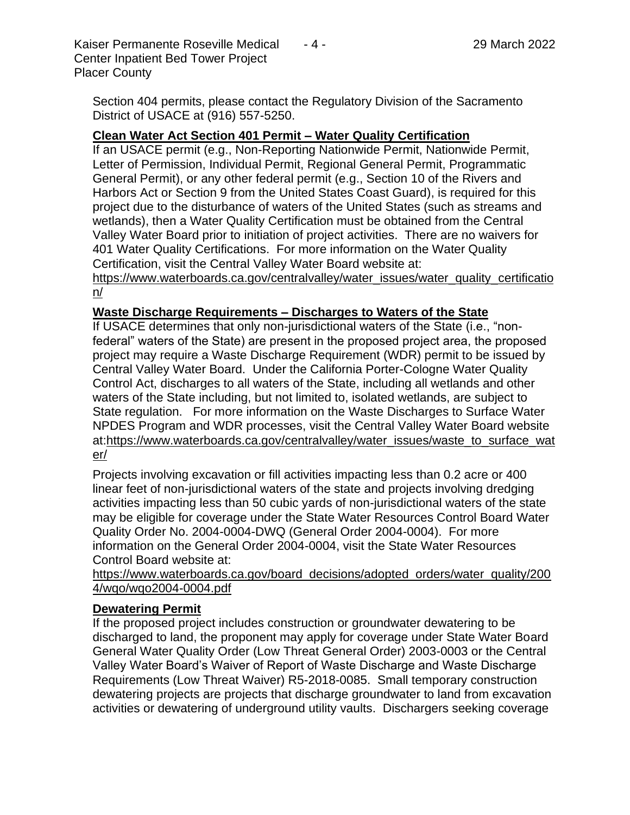Section 404 permits, please contact the Regulatory Division of the Sacramento District of USACE at (916) 557-5250.

#### **Clean Water Act Section 401 Permit – Water Quality Certification**

If an USACE permit (e.g., Non-Reporting Nationwide Permit, Nationwide Permit, Letter of Permission, Individual Permit, Regional General Permit, Programmatic General Permit), or any other federal permit (e.g., Section 10 of the Rivers and Harbors Act or Section 9 from the United States Coast Guard), is required for this project due to the disturbance of waters of the United States (such as streams and wetlands), then a Water Quality Certification must be obtained from the Central Valley Water Board prior to initiation of project activities. There are no waivers for 401 Water Quality Certifications. For more information on the Water Quality Certification, visit the Central Valley Water Board website at:

https://www.waterboards.ca.gov/centralvalley/water\_issues/water\_quality\_certificatio n/

#### **Waste Discharge Requirements – Discharges to Waters of the State**

If USACE determines that only non-jurisdictional waters of the State (i.e., "nonfederal" waters of the State) are present in the proposed project area, the proposed project may require a Waste Discharge Requirement (WDR) permit to be issued by Central Valley Water Board. Under the California Porter-Cologne Water Quality Control Act, discharges to all waters of the State, including all wetlands and other waters of the State including, but not limited to, isolated wetlands, are subject to State regulation. For more information on the Waste Discharges to Surface Water NPDES Program and WDR processes, visit the Central Valley Water Board website at:https://www.waterboards.ca.gov/centralvalley/water\_issues/waste\_to\_surface\_wat er/

Projects involving excavation or fill activities impacting less than 0.2 acre or 400 linear feet of non-jurisdictional waters of the state and projects involving dredging activities impacting less than 50 cubic yards of non-jurisdictional waters of the state may be eligible for coverage under the State Water Resources Control Board Water Quality Order No. 2004-0004-DWQ (General Order 2004-0004). For more information on the General Order 2004-0004, visit the State Water Resources Control Board website at:

https://www.waterboards.ca.gov/board\_decisions/adopted\_orders/water\_quality/200 4/wqo/wqo2004-0004.pdf

#### **Dewatering Permit**

If the proposed project includes construction or groundwater dewatering to be discharged to land, the proponent may apply for coverage under State Water Board General Water Quality Order (Low Threat General Order) 2003-0003 or the Central Valley Water Board's Waiver of Report of Waste Discharge and Waste Discharge Requirements (Low Threat Waiver) R5-2018-0085. Small temporary construction dewatering projects are projects that discharge groundwater to land from excavation activities or dewatering of underground utility vaults. Dischargers seeking coverage